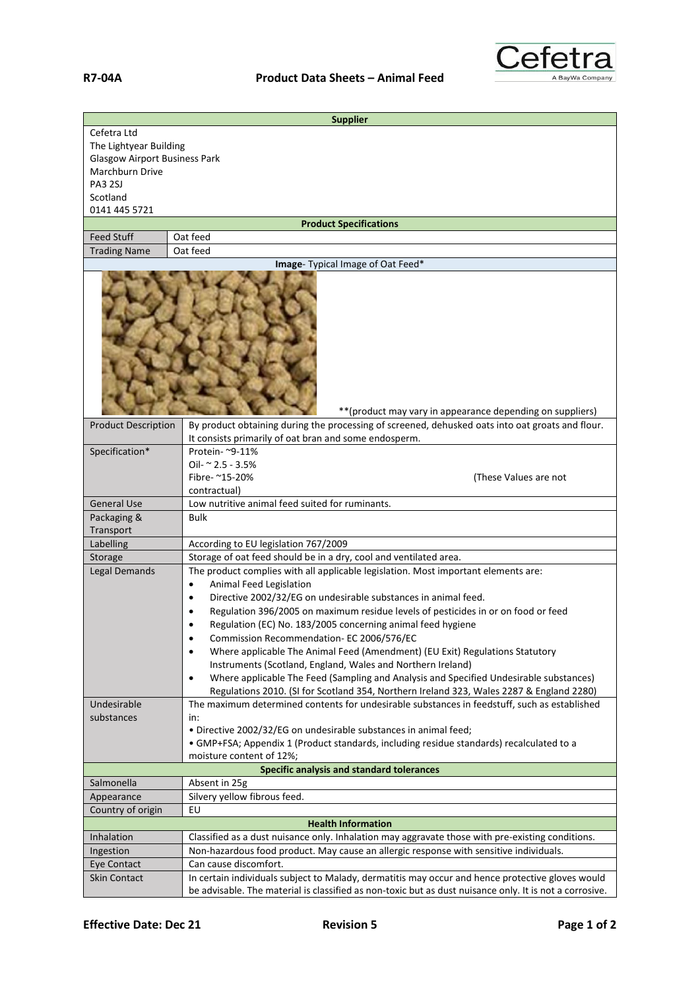

| <b>Supplier</b>                                            |                                                                                                                                             |  |
|------------------------------------------------------------|---------------------------------------------------------------------------------------------------------------------------------------------|--|
| Cefetra Ltd                                                |                                                                                                                                             |  |
| The Lightyear Building                                     |                                                                                                                                             |  |
| <b>Glasgow Airport Business Park</b>                       |                                                                                                                                             |  |
| Marchburn Drive                                            |                                                                                                                                             |  |
| PA3 2SJ<br>Scotland                                        |                                                                                                                                             |  |
| 0141 445 5721                                              |                                                                                                                                             |  |
|                                                            | <b>Product Specifications</b>                                                                                                               |  |
| <b>Feed Stuff</b>                                          | Oat feed                                                                                                                                    |  |
| <b>Trading Name</b>                                        | Oat feed                                                                                                                                    |  |
|                                                            | Image- Typical Image of Oat Feed*                                                                                                           |  |
| ** (product may vary in appearance depending on suppliers) |                                                                                                                                             |  |
| <b>Product Description</b>                                 | By product obtaining during the processing of screened, dehusked oats into oat groats and flour.                                            |  |
| Specification*                                             | It consists primarily of oat bran and some endosperm.<br>Protein- ~9-11%                                                                    |  |
|                                                            | Oil- ~ 2.5 - 3.5%                                                                                                                           |  |
|                                                            | Fibre- ~15-20%<br>(These Values are not                                                                                                     |  |
|                                                            | contractual)                                                                                                                                |  |
| <b>General Use</b>                                         | Low nutritive animal feed suited for ruminants.                                                                                             |  |
| Packaging &                                                | <b>Bulk</b>                                                                                                                                 |  |
| Transport                                                  |                                                                                                                                             |  |
| Labelling                                                  | According to EU legislation 767/2009                                                                                                        |  |
| Storage                                                    | Storage of oat feed should be in a dry, cool and ventilated area.                                                                           |  |
| Legal Demands                                              | The product complies with all applicable legislation. Most important elements are:                                                          |  |
|                                                            | Animal Feed Legislation<br>$\bullet$                                                                                                        |  |
|                                                            | Directive 2002/32/EG on undesirable substances in animal feed.<br>$\bullet$                                                                 |  |
|                                                            | Regulation 396/2005 on maximum residue levels of pesticides in or on food or feed<br>٠                                                      |  |
|                                                            | Regulation (EC) No. 183/2005 concerning animal feed hygiene                                                                                 |  |
|                                                            | Commission Recommendation- EC 2006/576/EC<br>٠<br>$\bullet$                                                                                 |  |
|                                                            | Where applicable The Animal Feed (Amendment) (EU Exit) Regulations Statutory<br>Instruments (Scotland, England, Wales and Northern Ireland) |  |
|                                                            | Where applicable The Feed (Sampling and Analysis and Specified Undesirable substances)<br>$\bullet$                                         |  |
|                                                            | Regulations 2010. (SI for Scotland 354, Northern Ireland 323, Wales 2287 & England 2280)                                                    |  |
| Undesirable                                                | The maximum determined contents for undesirable substances in feedstuff, such as established                                                |  |
| substances                                                 | in:                                                                                                                                         |  |
|                                                            | . Directive 2002/32/EG on undesirable substances in animal feed;                                                                            |  |
|                                                            | • GMP+FSA; Appendix 1 (Product standards, including residue standards) recalculated to a                                                    |  |
|                                                            | moisture content of 12%;                                                                                                                    |  |
|                                                            | Specific analysis and standard tolerances                                                                                                   |  |
| Salmonella                                                 | Absent in 25g                                                                                                                               |  |
| Appearance                                                 | Silvery yellow fibrous feed.<br>EU                                                                                                          |  |
| Country of origin                                          | <b>Health Information</b>                                                                                                                   |  |
| Inhalation                                                 | Classified as a dust nuisance only. Inhalation may aggravate those with pre-existing conditions.                                            |  |
| Ingestion                                                  | Non-hazardous food product. May cause an allergic response with sensitive individuals.                                                      |  |
| Eye Contact                                                | Can cause discomfort.                                                                                                                       |  |
| <b>Skin Contact</b>                                        | In certain individuals subject to Malady, dermatitis may occur and hence protective gloves would                                            |  |
|                                                            | be advisable. The material is classified as non-toxic but as dust nuisance only. It is not a corrosive.                                     |  |